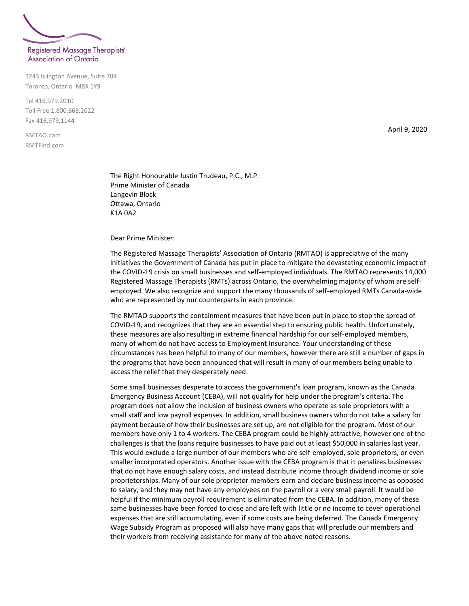

1243 Islington Avenue, Suite 704 Toronto, Ontario M8X 1Y9

Tel 416.979.2010 Toll Free 1.800.668.2022 Fax 416.979.1144

RMTAO.com RMTFind.com April 9, 2020

The Right Honourable Justin Trudeau, P.C., M.P. Prime Minister of Canada Langevin Block Ottawa, Ontario K1A 0A2

Dear Prime Minister:

The Registered Massage Therapists' Association of Ontario (RMTAO) is appreciative of the many initiatives the Government of Canada has put in place to mitigate the devastating economic impact of the COVID-19 crisis on small businesses and self-employed individuals. The RMTAO represents 14,000 Registered Massage Therapists (RMTs) across Ontario, the overwhelming majority of whom are selfemployed. We also recognize and support the many thousands of self-employed RMTs Canada-wide who are represented by our counterparts in each province.

The RMTAO supports the containment measures that have been put in place to stop the spread of COVID-19, and recognizes that they are an essential step to ensuring public health. Unfortunately, these measures are also resulting in extreme financial hardship for our self-employed members, many of whom do not have access to Employment Insurance. Your understanding of these circumstances has been helpful to many of our members, however there are still a number of gaps in the programs that have been announced that will result in many of our members being unable to access the relief that they desperately need.

Some small businesses desperate to access the government's loan program, known as the Canada Emergency Business Account (CEBA), will not qualify for help under the program's criteria. The program does not allow the inclusion of business owners who operate as sole proprietors with a small staff and low payroll expenses. In addition, small business owners who do not take a salary for payment because of how their businesses are set up, are not eligible for the program. Most of our members have only 1 to 4 workers. The CEBA program could be highly attractive, however one of the challenges is that the loans require businesses to have paid out at least \$50,000 in salaries last year. This would exclude a large number of our members who are self-employed, sole proprietors, or even smaller incorporated operators. Another issue with the CEBA program is that it penalizes businesses that do not have enough salary costs, and instead distribute income through dividend income or sole proprietorships. Many of our sole proprietor members earn and declare business income as opposed to salary, and they may not have any employees on the payroll or a very small payroll. It would be helpful if the minimum payroll requirement is eliminated from the CEBA. In addition, many of these same businesses have been forced to close and are left with little or no income to cover operational expenses that are still accumulating, even if some costs are being deferred. The Canada Emergency Wage Subsidy Program as proposed will also have many gaps that will preclude our members and their workers from receiving assistance for many of the above noted reasons.